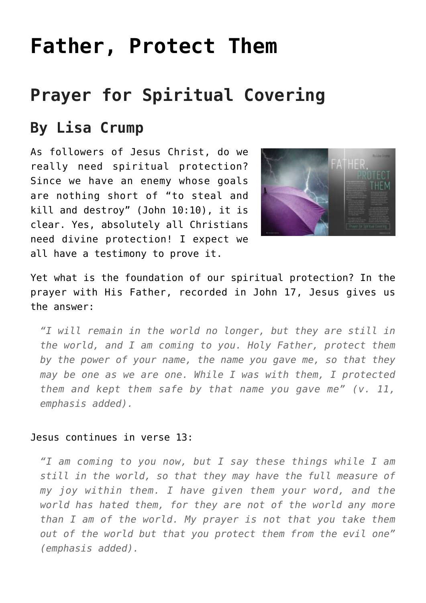# **[Father, Protect Them](https://www.prayerleader.com/father-protect-them/)**

## **Prayer for Spiritual Covering**

### **By Lisa Crump**

As followers of Jesus Christ, do we really need spiritual protection? Since we have an enemy whose goals are nothing short of "to steal and kill and destroy" (John 10:10), it is clear. Yes, absolutely all Christians need divine protection! I expect we all have a testimony to prove it.



Yet what is the foundation of our spiritual protection? In the prayer with His Father, recorded in John 17, Jesus gives us the answer:

*"I will remain in the world no longer, but they are still in the world, and I am coming to you. Holy Father, protect them by the power of your name, the name you gave me, so that they may be one as we are one. While I was with them, I protected them and kept them safe by that name you gave me" (v. 11, emphasis added).*

#### Jesus continues in verse 13:

*"I am coming to you now, but I say these things while I am still in the world, so that they may have the full measure of my joy within them. I have given them your word, and the world has hated them, for they are not of the world any more than I am of the world. My prayer is not that you take them out of the world but that you protect them from the evil one" (emphasis added).*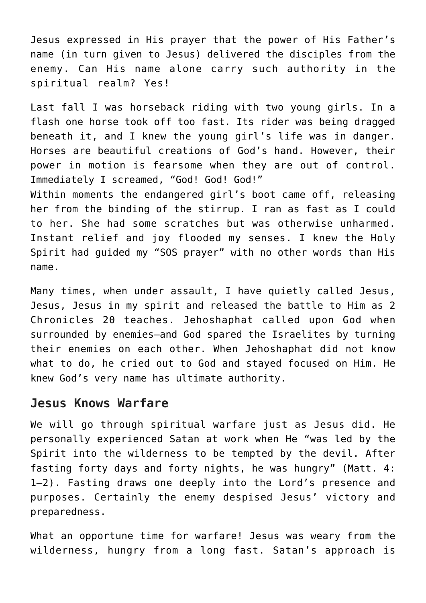Jesus expressed in His prayer that the power of His Father's name (in turn given to Jesus) delivered the disciples from the enemy. Can His name alone carry such authority in the spiritual realm? Yes!

Last fall I was horseback riding with two young girls. In a flash one horse took off too fast. Its rider was being dragged beneath it, and I knew the young girl's life was in danger. Horses are beautiful creations of God's hand. However, their power in motion is fearsome when they are out of control. Immediately I screamed, "God! God! God!" Within moments the endangered girl's boot came off, releasing her from the binding of the stirrup. I ran as fast as I could to her. She had some scratches but was otherwise unharmed. Instant relief and joy flooded my senses. I knew the Holy Spirit had guided my "SOS prayer" with no other words than His

Many times, when under assault, I have quietly called Jesus, Jesus, Jesus in my spirit and released the battle to Him as 2 Chronicles 20 teaches. Jehoshaphat called upon God when surrounded by enemies—and God spared the Israelites by turning their enemies on each other. When Jehoshaphat did not know what to do, he cried out to God and stayed focused on Him. He knew God's very name has ultimate authority.

#### **Jesus Knows Warfare**

name.

We will go through spiritual warfare just as Jesus did. He personally experienced Satan at work when He "was led by the Spirit into the wilderness to be tempted by the devil. After fasting forty days and forty nights, he was hungry" (Matt. 4: 1–2). Fasting draws one deeply into the Lord's presence and purposes. Certainly the enemy despised Jesus' victory and preparedness.

What an opportune time for warfare! Jesus was weary from the wilderness, hungry from a long fast. Satan's approach is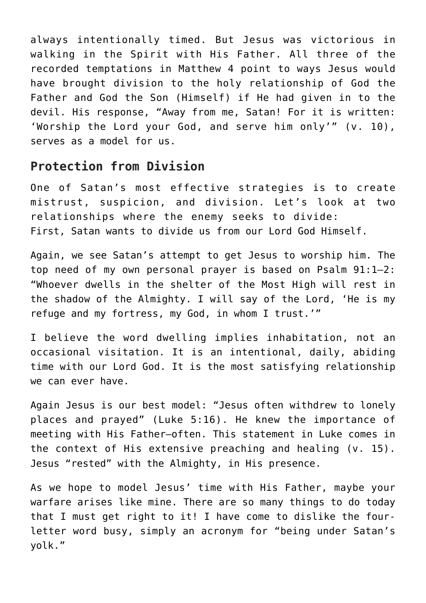always intentionally timed. But Jesus was victorious in walking in the Spirit with His Father. All three of the recorded temptations in Matthew 4 point to ways Jesus would have brought division to the holy relationship of God the Father and God the Son (Himself) if He had given in to the devil. His response, "Away from me, Satan! For it is written: 'Worship the Lord your God, and serve him only'" (v. 10), serves as a model for us.

#### **Protection from Division**

One of Satan's most effective strategies is to create mistrust, suspicion, and division. Let's look at two relationships where the enemy seeks to divide: First, Satan wants to divide us from our Lord God Himself.

Again, we see Satan's attempt to get Jesus to worship him. The top need of my own personal prayer is based on Psalm 91:1–2: "Whoever dwells in the shelter of the Most High will rest in the shadow of the Almighty. I will say of the Lord, 'He is my refuge and my fortress, my God, in whom I trust.'"

I believe the word dwelling implies inhabitation, not an occasional visitation. It is an intentional, daily, abiding time with our Lord God. It is the most satisfying relationship we can ever have.

Again Jesus is our best model: "Jesus often withdrew to lonely places and prayed" (Luke 5:16). He knew the importance of meeting with His Father—often. This statement in Luke comes in the context of His extensive preaching and healing (v. 15). Jesus "rested" with the Almighty, in His presence.

As we hope to model Jesus' time with His Father, maybe your warfare arises like mine. There are so many things to do today that I must get right to it! I have come to dislike the fourletter word busy, simply an acronym for "being under Satan's yolk."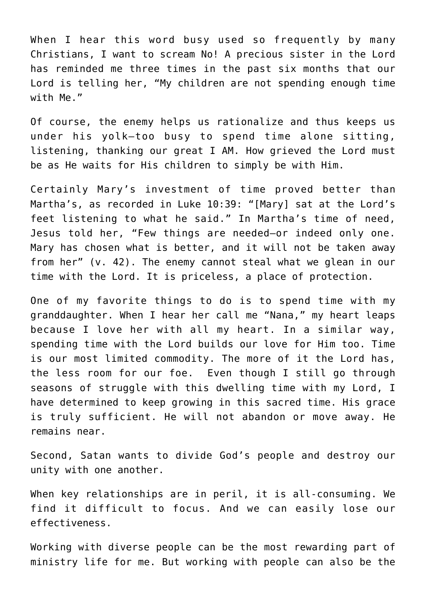When I hear this word busy used so frequently by many Christians, I want to scream No! A precious sister in the Lord has reminded me three times in the past six months that our Lord is telling her, "My children are not spending enough time with Me."

Of course, the enemy helps us rationalize and thus keeps us under his yolk—too busy to spend time alone sitting, listening, thanking our great I AM. How grieved the Lord must be as He waits for His children to simply be with Him.

Certainly Mary's investment of time proved better than Martha's, as recorded in Luke 10:39: "[Mary] sat at the Lord's feet listening to what he said." In Martha's time of need, Jesus told her, "Few things are needed—or indeed only one. Mary has chosen what is better, and it will not be taken away from her" (v. 42). The enemy cannot steal what we glean in our time with the Lord. It is priceless, a place of protection.

One of my favorite things to do is to spend time with my granddaughter. When I hear her call me "Nana," my heart leaps because I love her with all my heart. In a similar way, spending time with the Lord builds our love for Him too. Time is our most limited commodity. The more of it the Lord has, the less room for our foe. Even though I still go through seasons of struggle with this dwelling time with my Lord, I have determined to keep growing in this sacred time. His grace is truly sufficient. He will not abandon or move away. He remains near.

Second, Satan wants to divide God's people and destroy our unity with one another.

When key relationships are in peril, it is all-consuming. We find it difficult to focus. And we can easily lose our effectiveness.

Working with diverse people can be the most rewarding part of ministry life for me. But working with people can also be the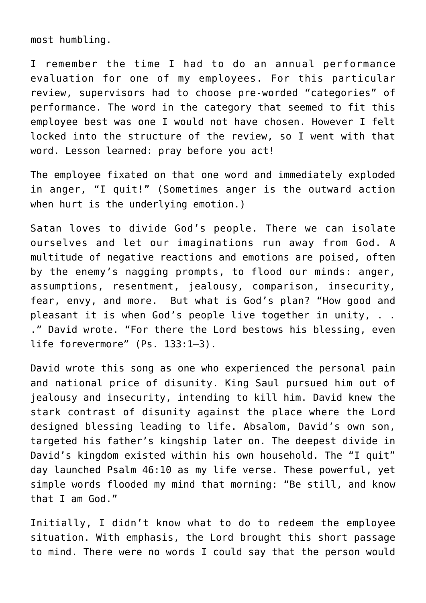most humbling.

I remember the time I had to do an annual performance evaluation for one of my employees. For this particular review, supervisors had to choose pre-worded "categories" of performance. The word in the category that seemed to fit this employee best was one I would not have chosen. However I felt locked into the structure of the review, so I went with that word. Lesson learned: pray before you act!

The employee fixated on that one word and immediately exploded in anger, "I quit!" (Sometimes anger is the outward action when hurt is the underlying emotion.)

Satan loves to divide God's people. There we can isolate ourselves and let our imaginations run away from God. A multitude of negative reactions and emotions are poised, often by the enemy's nagging prompts, to flood our minds: anger, assumptions, resentment, jealousy, comparison, insecurity, fear, envy, and more. But what is God's plan? "How good and pleasant it is when God's people live together in unity, . . ." David wrote. "For there the Lord bestows his blessing, even life forevermore" (Ps. 133:1–3).

David wrote this song as one who experienced the personal pain and national price of disunity. King Saul pursued him out of jealousy and insecurity, intending to kill him. David knew the stark contrast of disunity against the place where the Lord designed blessing leading to life. Absalom, David's own son, targeted his father's kingship later on. The deepest divide in David's kingdom existed within his own household. The "I quit" day launched Psalm 46:10 as my life verse. These powerful, yet simple words flooded my mind that morning: "Be still, and know that I am God."

Initially, I didn't know what to do to redeem the employee situation. With emphasis, the Lord brought this short passage to mind. There were no words I could say that the person would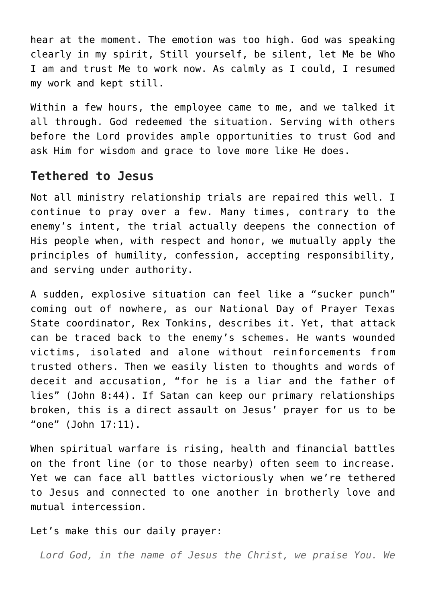hear at the moment. The emotion was too high. God was speaking clearly in my spirit, Still yourself, be silent, let Me be Who I am and trust Me to work now. As calmly as I could, I resumed my work and kept still.

Within a few hours, the employee came to me, and we talked it all through. God redeemed the situation. Serving with others before the Lord provides ample opportunities to trust God and ask Him for wisdom and grace to love more like He does.

#### **Tethered to Jesus**

Not all ministry relationship trials are repaired this well. I continue to pray over a few. Many times, contrary to the enemy's intent, the trial actually deepens the connection of His people when, with respect and honor, we mutually apply the principles of humility, confession, accepting responsibility, and serving under authority.

A sudden, explosive situation can feel like a "sucker punch" coming out of nowhere, as our National Day of Prayer Texas State coordinator, Rex Tonkins, describes it. Yet, that attack can be traced back to the enemy's schemes. He wants wounded victims, isolated and alone without reinforcements from trusted others. Then we easily listen to thoughts and words of deceit and accusation, "for he is a liar and the father of lies" (John 8:44). If Satan can keep our primary relationships broken, this is a direct assault on Jesus' prayer for us to be "one" (John 17:11).

When spiritual warfare is rising, health and financial battles on the front line (or to those nearby) often seem to increase. Yet we can face all battles victoriously when we're tethered to Jesus and connected to one another in brotherly love and mutual intercession.

Let's make this our daily prayer:

*Lord God, in the name of Jesus the Christ, we praise You. We*